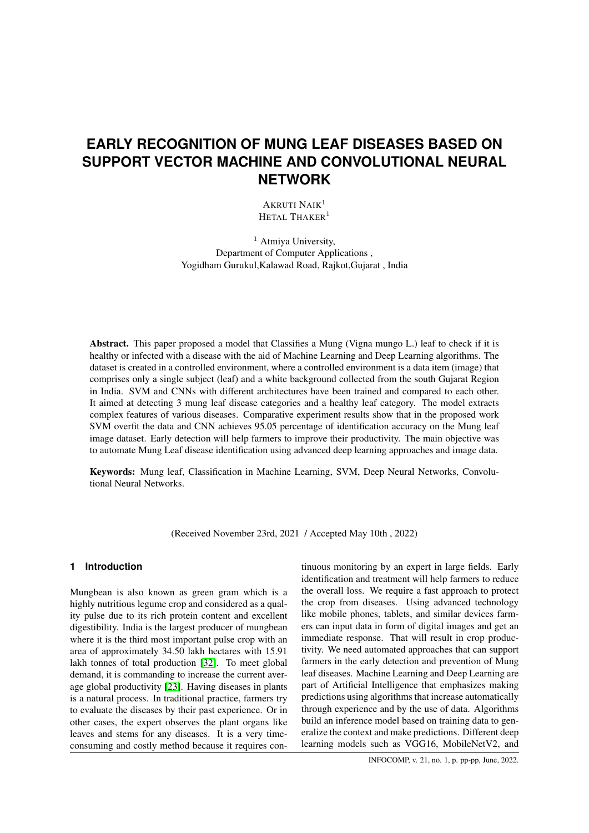# **EARLY RECOGNITION OF MUNG LEAF DISEASES BASED ON SUPPORT VECTOR MACHINE AND CONVOLUTIONAL NEURAL NETWORK**

AKRUTI NAIK<sup>1</sup> HETAL THAKER<sup>1</sup>

<sup>1</sup> Atmiya University, Department of Computer Applications , Yogidham Gurukul,Kalawad Road, Rajkot,Gujarat , India

Abstract. This paper proposed a model that Classifies a Mung (Vigna mungo L.) leaf to check if it is healthy or infected with a disease with the aid of Machine Learning and Deep Learning algorithms. The dataset is created in a controlled environment, where a controlled environment is a data item (image) that comprises only a single subject (leaf) and a white background collected from the south Gujarat Region in India. SVM and CNNs with different architectures have been trained and compared to each other. It aimed at detecting 3 mung leaf disease categories and a healthy leaf category. The model extracts complex features of various diseases. Comparative experiment results show that in the proposed work SVM overfit the data and CNN achieves 95.05 percentage of identification accuracy on the Mung leaf image dataset. Early detection will help farmers to improve their productivity. The main objective was to automate Mung Leaf disease identification using advanced deep learning approaches and image data.

Keywords: Mung leaf, Classification in Machine Learning, SVM, Deep Neural Networks, Convolutional Neural Networks.

(Received November 23rd, 2021 / Accepted May 10th , 2022)

## **1 Introduction**

Mungbean is also known as green gram which is a highly nutritious legume crop and considered as a quality pulse due to its rich protein content and excellent digestibility. India is the largest producer of mungbean where it is the third most important pulse crop with an area of approximately 34.50 lakh hectares with 15.91 lakh tonnes of total production [\[32\]](#page-6-0). To meet global demand, it is commanding to increase the current average global productivity [\[23\]](#page-6-1). Having diseases in plants is a natural process. In traditional practice, farmers try to evaluate the diseases by their past experience. Or in other cases, the expert observes the plant organs like leaves and stems for any diseases. It is a very timeconsuming and costly method because it requires con-

tinuous monitoring by an expert in large fields. Early identification and treatment will help farmers to reduce the overall loss. We require a fast approach to protect the crop from diseases. Using advanced technology like mobile phones, tablets, and similar devices farmers can input data in form of digital images and get an immediate response. That will result in crop productivity. We need automated approaches that can support farmers in the early detection and prevention of Mung leaf diseases. Machine Learning and Deep Learning are part of Artificial Intelligence that emphasizes making predictions using algorithms that increase automatically through experience and by the use of data. Algorithms build an inference model based on training data to generalize the context and make predictions. Different deep learning models such as VGG16, MobileNetV2, and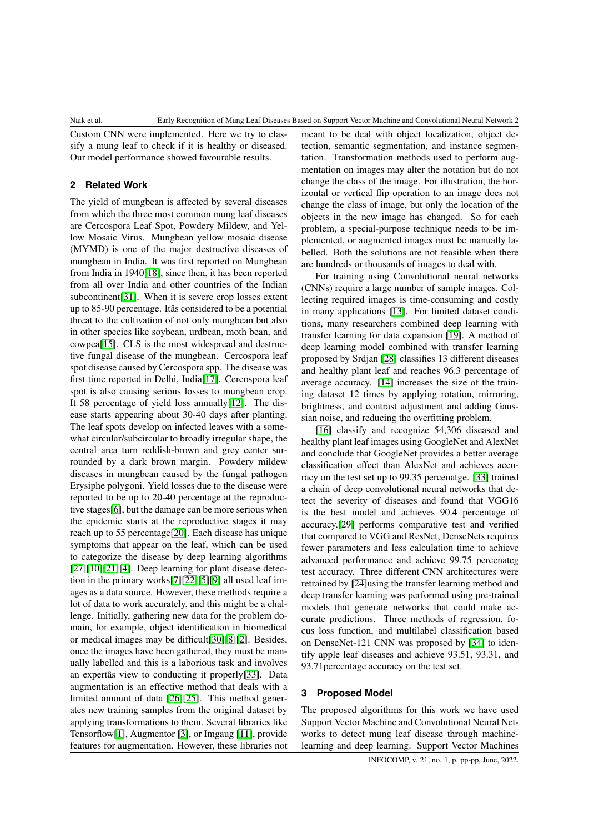Custom CNN were implemented. Here we try to classify a mung leaf to check if it is healthy or diseased. Our model performance showed favourable results.

#### **2 Related Work**

The yield of mungbean is affected by several diseases from which the three most common mung leaf diseases are Cercospora Leaf Spot, Powdery Mildew, and Yellow Mosaic Virus. Mungbean yellow mosaic disease (MYMD) is one of the major destructive diseases of mungbean in India. It was first reported on Mungbean from India in 1940[\[18\]](#page-6-2), since then, it has been reported from all over India and other countries of the Indian subcontinent[\[31\]](#page-6-3). When it is severe crop losses extent up to 85-90 percentage. Itâs considered to be a potential threat to the cultivation of not only mungbean but also in other species like soybean, urdbean, moth bean, and cowpea[\[15\]](#page-6-4). CLS is the most widespread and destructive fungal disease of the mungbean. Cercospora leaf spot disease caused by Cercospora spp. The disease was first time reported in Delhi, India[\[17\]](#page-6-5). Cercospora leaf spot is also causing serious losses to mungbean crop. It 58 percentage of yield loss annually[\[12\]](#page-6-6). The disease starts appearing about 30-40 days after planting. The leaf spots develop on infected leaves with a somewhat circular/subcircular to broadly irregular shape, the central area turn reddish-brown and grey center surrounded by a dark brown margin. Powdery mildew diseases in mungbean caused by the fungal pathogen Erysiphe polygoni. Yield losses due to the disease were reported to be up to 20-40 percentage at the reproductive stages[\[6\]](#page-5-0), but the damage can be more serious when the epidemic starts at the reproductive stages it may reach up to 55 percentage[\[20\]](#page-6-7). Each disease has unique symptoms that appear on the leaf, which can be used to categorize the disease by deep learning algorithms  $[27][10][21][4]$  $[27][10][21][4]$  $[27][10][21][4]$  $[27][10][21][4]$ . Deep learning for plant disease detection in the primary works[\[7\]](#page-5-3)[\[22\]](#page-6-10)[\[5\]](#page-5-4)[\[9\]](#page-5-5) all used leaf images as a data source. However, these methods require a lot of data to work accurately, and this might be a challenge. Initially, gathering new data for the problem domain, for example, object identification in biomedical or medical images may be difficult[\[30\]](#page-6-11)[\[8\]](#page-5-6)[\[2\]](#page-5-7). Besides, once the images have been gathered, they must be manually labelled and this is a laborious task and involves an expertâs view to conducting it properly[\[33\]](#page-6-12). Data augmentation is an effective method that deals with a limited amount of data [\[26\]](#page-6-13)[\[25\]](#page-6-14). This method generates new training samples from the original dataset by applying transformations to them. Several libraries like Tensorflow[\[1\]](#page-5-8), Augmentor [\[3\]](#page-5-9), or Imgaug [\[11\]](#page-6-15), provide features for augmentation. However, these libraries not

meant to be deal with object localization, object detection, semantic segmentation, and instance segmentation. Transformation methods used to perform augmentation on images may alter the notation but do not change the class of the image. For illustration, the horizontal or vertical flip operation to an image does not change the class of image, but only the location of the objects in the new image has changed. So for each problem, a special-purpose technique needs to be implemented, or augmented images must be manually labelled. Both the solutions are not feasible when there are hundreds or thousands of images to deal with.

For training using Convolutional neural networks (CNNs) require a large number of sample images. Collecting required images is time-consuming and costly in many applications [\[13\]](#page-6-16). For limited dataset conditions, many researchers combined deep learning with transfer learning for data expansion [\[19\]](#page-6-17). A method of deep learning model combined with transfer learning proposed by Srdjan [\[28\]](#page-6-18) classifies 13 different diseases and healthy plant leaf and reaches 96.3 percentage of average accuracy. [\[14\]](#page-6-19) increases the size of the training dataset 12 times by applying rotation, mirroring, brightness, and contrast adjustment and adding Gaussian noise, and reducing the overfitting problem.

[\[16\]](#page-6-20) classify and recognize 54,306 diseased and healthy plant leaf images using GoogleNet and AlexNet and conclude that GoogleNet provides a better average classification effect than AlexNet and achieves accuracy on the test set up to 99.35 percenatge. [\[33\]](#page-6-12) trained a chain of deep convolutional neural networks that detect the severity of diseases and found that VGG16 is the best model and achieves 90.4 percentage of accuracy.[\[29\]](#page-6-21) performs comparative test and verified that compared to VGG and ResNet, DenseNets requires fewer parameters and less calculation time to achieve advanced performance and achieve 99.75 percenateg test accuracy. Three different CNN architectures were retrained by [\[24\]](#page-6-22)using the transfer learning method and deep transfer learning was performed using pre-trained models that generate networks that could make accurate predictions. Three methods of regression, focus loss function, and multilabel classification based on DenseNet-121 CNN was proposed by [\[34\]](#page-7-0) to identify apple leaf diseases and achieve 93.51, 93.31, and 93.71percentage accuracy on the test set.

#### **3 Proposed Model**

The proposed algorithms for this work we have used Support Vector Machine and Convolutional Neural Networks to detect mung leaf disease through machinelearning and deep learning. Support Vector Machines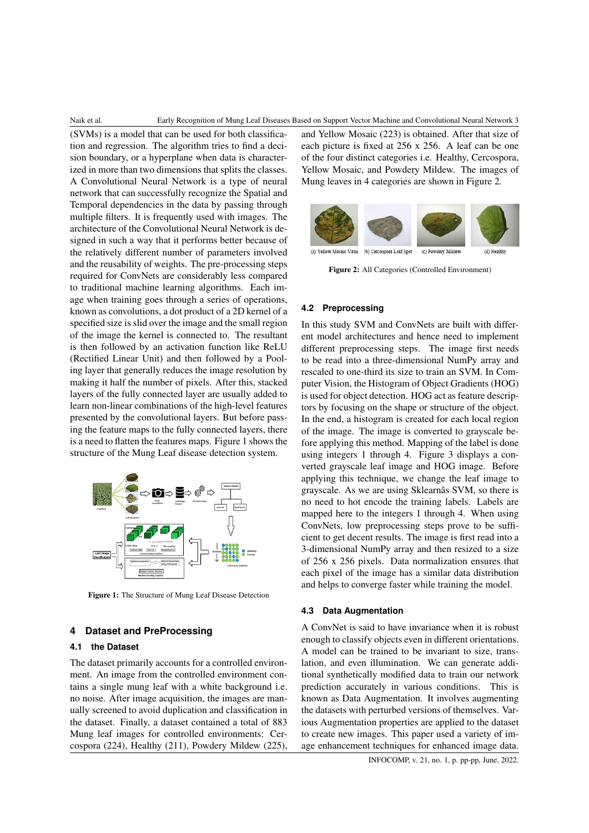(SVMs) is a model that can be used for both classification and regression. The algorithm tries to find a decision boundary, or a hyperplane when data is characterized in more than two dimensions that splits the classes. A Convolutional Neural Network is a type of neural network that can successfully recognize the Spatial and Temporal dependencies in the data by passing through multiple filters. It is frequently used with images. The architecture of the Convolutional Neural Network is designed in such a way that it performs better because of the relatively different number of parameters involved and the reusability of weights. The pre-processing steps required for ConvNets are considerably less compared to traditional machine learning algorithms. Each image when training goes through a series of operations, known as convolutions, a dot product of a 2D kernel of a specified size is slid over the image and the small region of the image the kernel is connected to. The resultant is then followed by an activation function like ReLU (Rectified Linear Unit) and then followed by a Pooling layer that generally reduces the image resolution by making it half the number of pixels. After this, stacked layers of the fully connected layer are usually added to learn non-linear combinations of the high-level features presented by the convolutional layers. But before passing the feature maps to the fully connected layers, there is a need to flatten the features maps. Figure 1 shows the structure of the Mung Leaf disease detection system.



Figure 1: The Structure of Mung Leaf Disease Detection

# **4 Dataset and PreProcessing**

#### **4.1 the Dataset**

The dataset primarily accounts for a controlled environment. An image from the controlled environment contains a single mung leaf with a white background i.e. no noise. After image acquisition, the images are manually screened to avoid duplication and classification in the dataset. Finally, a dataset contained a total of 883 Mung leaf images for controlled environments: Cercospora (224), Healthy (211), Powdery Mildew (225),

and Yellow Mosaic (223) is obtained. After that size of each picture is fixed at 256 x 256. A leaf can be one of the four distinct categories i.e. Healthy, Cercospora, Yellow Mosaic, and Powdery Mildew. The images of Mung leaves in 4 categories are shown in Figure 2.



Figure 2: All Categories (Controlled Environment)

#### **4.2 Preprocessing**

In this study SVM and ConvNets are built with different model architectures and hence need to implement different preprocessing steps. The image first needs to be read into a three-dimensional NumPy array and rescaled to one-third its size to train an SVM. In Computer Vision, the Histogram of Object Gradients (HOG) is used for object detection. HOG act as feature descriptors by focusing on the shape or structure of the object. In the end, a histogram is created for each local region of the image. The image is converted to grayscale before applying this method. Mapping of the label is done using integers 1 through 4. Figure 3 displays a converted grayscale leaf image and HOG image. Before applying this technique, we change the leaf image to grayscale. As we are using Sklearnâs SVM, so there is no need to hot encode the training labels. Labels are mapped here to the integers 1 through 4. When using ConvNets, low preprocessing steps prove to be sufficient to get decent results. The image is first read into a 3-dimensional NumPy array and then resized to a size of 256 x 256 pixels. Data normalization ensures that each pixel of the image has a similar data distribution and helps to converge faster while training the model.

#### **4.3 Data Augmentation**

A ConvNet is said to have invariance when it is robust enough to classify objects even in different orientations. A model can be trained to be invariant to size, translation, and even illumination. We can generate additional synthetically modified data to train our network prediction accurately in various conditions. This is known as Data Augmentation. It involves augmenting the datasets with perturbed versions of themselves. Various Augmentation properties are applied to the dataset to create new images. This paper used a variety of image enhancement techniques for enhanced image data.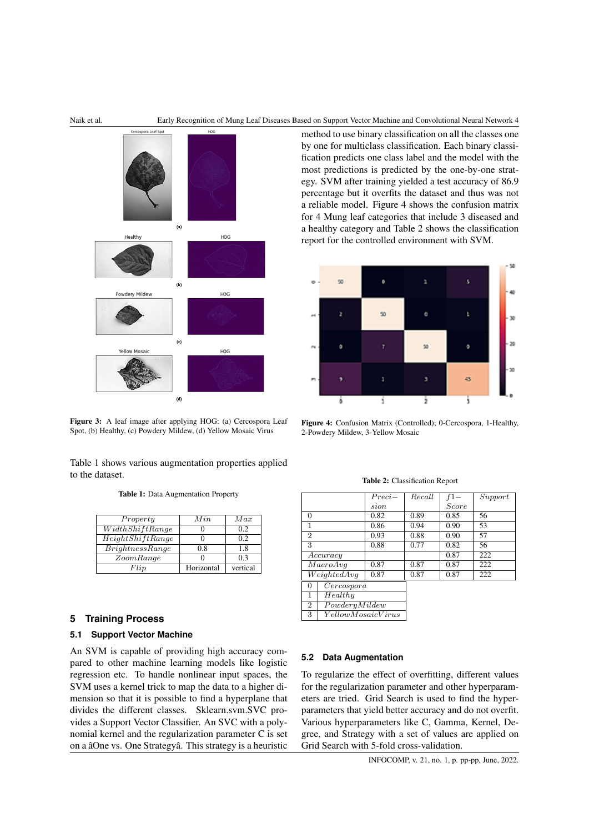

Figure 3: A leaf image after applying HOG: (a) Cercospora Leaf Spot, (b) Healthy, (c) Powdery Mildew, (d) Yellow Mosaic Virus

Table 1 shows various augmentation properties applied to the dataset.

Table 1: Data Augmentation Property

| Property         | Min        | Max      |
|------------------|------------|----------|
| WidthShiftRange  |            | 0.2      |
| HeightShiftRange |            | 0.2      |
| BrightnessRange  | 0.8        | 18       |
| ZoomRange        |            | 0.3      |
| Fliv             | Horizontal | vertical |

## **5 Training Process**

#### **5.1 Support Vector Machine**

An SVM is capable of providing high accuracy compared to other machine learning models like logistic regression etc. To handle nonlinear input spaces, the SVM uses a kernel trick to map the data to a higher dimension so that it is possible to find a hyperplane that divides the different classes. Sklearn.svm.SVC provides a Support Vector Classifier. An SVC with a polynomial kernel and the regularization parameter C is set on a âOne vs. One Strategyâ. This strategy is a heuristic

method to use binary classification on all the classes one by one for multiclass classification. Each binary classification predicts one class label and the model with the most predictions is predicted by the one-by-one strategy. SVM after training yielded a test accuracy of 86.9 percentage but it overfits the dataset and thus was not a reliable model. Figure 4 shows the confusion matrix for 4 Mung leaf categories that include 3 diseased and a healthy category and Table 2 shows the classification report for the controlled environment with SVM.



Figure 4: Confusion Matrix (Controlled); 0-Cercospora, 1-Healthy, 2-Powdery Mildew, 3-Yellow Mosaic

| <b>Table 2:</b> Classification Report |  |
|---------------------------------------|--|
|---------------------------------------|--|

|                        | $Preci -$ | Recall | $f1-$ | Support |
|------------------------|-----------|--------|-------|---------|
|                        | sion      |        | Score |         |
| $\Omega$               | 0.82      | 0.89   | 0.85  | 56      |
| 1                      | 0.86      | 0.94   | 0.90  | 53      |
| $\overline{2}$         | 0.93      | 0.88   | 0.90  | 57      |
| 3                      | 0.88      | 0.77   | 0.82  | 56      |
| Accuracy               |           |        | 0.87  | 222     |
| MacroAvg               | 0.87      | 0.87   | 0.87  | 222     |
| We is a htedAvg        | 0.87      | 0.87   | 0.87  | 222     |
| Cercospora<br>$\theta$ |           |        |       |         |
| $H_{coll}$             |           |        |       |         |

|                         | Healthy           |
|-------------------------|-------------------|
| $\overline{\mathbf{2}}$ | PowderyMildew     |
| 3                       | YellowMosaicVirus |

#### **5.2 Data Augmentation**

To regularize the effect of overfitting, different values for the regularization parameter and other hyperparameters are tried. Grid Search is used to find the hyperparameters that yield better accuracy and do not overfit. Various hyperparameters like C, Gamma, Kernel, Degree, and Strategy with a set of values are applied on Grid Search with 5-fold cross-validation.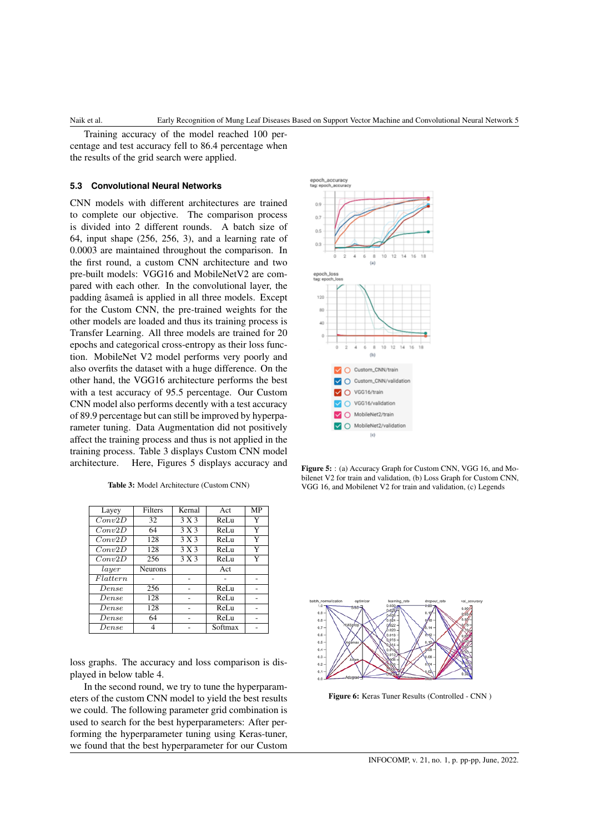Training accuracy of the model reached 100 percentage and test accuracy fell to 86.4 percentage when the results of the grid search were applied.

#### **5.3 Convolutional Neural Networks**

CNN models with different architectures are trained to complete our objective. The comparison process is divided into 2 different rounds. A batch size of 64, input shape (256, 256, 3), and a learning rate of 0.0003 are maintained throughout the comparison. In the first round, a custom CNN architecture and two pre-built models: VGG16 and MobileNetV2 are compared with each other. In the convolutional layer, the padding âsameâ is applied in all three models. Except for the Custom CNN, the pre-trained weights for the other models are loaded and thus its training process is Transfer Learning. All three models are trained for 20 epochs and categorical cross-entropy as their loss function. MobileNet V2 model performs very poorly and also overfits the dataset with a huge difference. On the other hand, the VGG16 architecture performs the best with a test accuracy of 95.5 percentage. Our Custom CNN model also performs decently with a test accuracy of 89.9 percentage but can still be improved by hyperparameter tuning. Data Augmentation did not positively affect the training process and thus is not applied in the training process. Table 3 displays Custom CNN model architecture. Here, Figures 5 displays accuracy and

| <b>Table 3:</b> Model Architecture (Custom CNN) |  |  |  |  |  |
|-------------------------------------------------|--|--|--|--|--|
|-------------------------------------------------|--|--|--|--|--|

| Layey    | Filters        | Kernal | Act     | <b>MP</b> |
|----------|----------------|--------|---------|-----------|
| Conv2D   | 32             | 3 X 3  | ReLu    | Y         |
| Conv2D   | 64             | 3 X 3  | ReLu    | Y         |
| Conv2D   | 128            | 3 X 3  | ReLu    | Y         |
| Conv2D   | 128            | 3 X 3  | ReLu    | Y         |
| Conv2D   | 256            | 3 X 3  | ReLu    | Y         |
| layer    | <b>Neurons</b> |        | Act     |           |
| Flattern |                |        |         |           |
| Dense    | 256            |        | ReLu    |           |
| Dense    | 128            |        | ReLu    |           |
| Dense    | 128            |        | ReLu    |           |
| Dense    | 64             |        | ReLu    |           |
| Dense    |                |        | Softmax |           |

loss graphs. The accuracy and loss comparison is displayed in below table 4.

In the second round, we try to tune the hyperparameters of the custom CNN model to yield the best results we could. The following parameter grid combination is used to search for the best hyperparameters: After performing the hyperparameter tuning using Keras-tuner, we found that the best hyperparameter for our Custom



Figure 5: : (a) Accuracy Graph for Custom CNN, VGG 16, and Mobilenet V2 for train and validation, (b) Loss Graph for Custom CNN, VGG 16, and Mobilenet V2 for train and validation, (c) Legends



Figure 6: Keras Tuner Results (Controlled - CNN )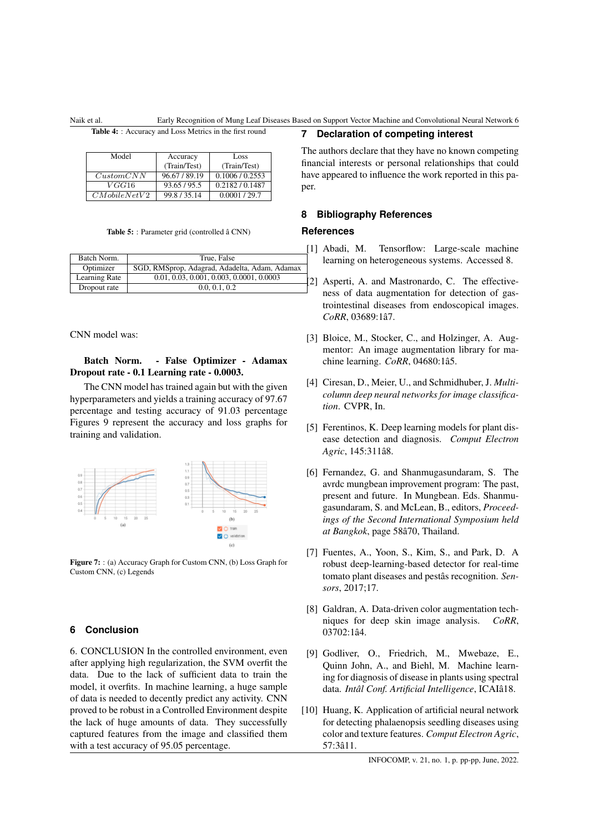Naik et al. Early Recognition of Mung Leaf Diseases Based on Support Vector Machine and Convolutional Neural Network 6

Table 4: : Accuracy and Loss Metrics in the first round

| Model        | Accuracy     | Loss            |
|--------------|--------------|-----------------|
|              | (Train/Test) | (Train/Test)    |
| CustomCNN    | 96.67/89.19  | 0.1006 / 0.2553 |
| VGG16        | 93.65/95.5   | 0.2182 / 0.1487 |
| CMobileNetV2 | 99.8/35.14   | 0.0001 / 29.7   |

|  |  |  | <b>Table 5:</b> : Parameter grid (controlled â CNN) |  |  |
|--|--|--|-----------------------------------------------------|--|--|
|--|--|--|-----------------------------------------------------|--|--|

| Batch Norm.   | True, False                                   |
|---------------|-----------------------------------------------|
| Optimizer     | SGD, RMSprop, Adagrad, Adadelta, Adam, Adamax |
| Learning Rate | 0.01, 0.03, 0.001, 0.003, 0.0001, 0.0003      |
| Dropout rate  | 0.0, 0.1, 0.2                                 |

CNN model was:

## Batch Norm. - False Optimizer - Adamax Dropout rate - 0.1 Learning rate - 0.0003.

The CNN model has trained again but with the given hyperparameters and yields a training accuracy of 97.67 percentage and testing accuracy of 91.03 percentage Figures 9 represent the accuracy and loss graphs for training and validation.



Figure 7: : (a) Accuracy Graph for Custom CNN, (b) Loss Graph for Custom CNN, (c) Legends

# **6 Conclusion**

6. CONCLUSION In the controlled environment, even after applying high regularization, the SVM overfit the data. Due to the lack of sufficient data to train the model, it overfits. In machine learning, a huge sample of data is needed to decently predict any activity. CNN proved to be robust in a Controlled Environment despite the lack of huge amounts of data. They successfully captured features from the image and classified them with a test accuracy of 95.05 percentage.

# **7 Declaration of competing interest**

The authors declare that they have no known competing financial interests or personal relationships that could have appeared to influence the work reported in this paper.

# **8 Bibliography References**

#### <span id="page-5-8"></span>**References**

- [1] Abadi, M. Tensorflow: Large-scale machine learning on heterogeneous systems. Accessed 8.
- <span id="page-5-7"></span>[2] Asperti, A. and Mastronardo, C. The effectiveness of data augmentation for detection of gastrointestinal diseases from endoscopical images. *CoRR*, 03689:1â7.
- <span id="page-5-9"></span>[3] Bloice, M., Stocker, C., and Holzinger, A. Augmentor: An image augmentation library for machine learning. *CoRR*, 04680:1â5.
- <span id="page-5-2"></span>[4] Ciresan, D., Meier, U., and Schmidhuber, J. *Multicolumn deep neural networks for image classification*. CVPR, In.
- <span id="page-5-4"></span>[5] Ferentinos, K. Deep learning models for plant disease detection and diagnosis. *Comput Electron Agric*, 145:311â8.
- <span id="page-5-0"></span>[6] Fernandez, G. and Shanmugasundaram, S. The avrdc mungbean improvement program: The past, present and future. In Mungbean. Eds. Shanmugasundaram, S. and McLean, B., editors, *Proceedings of the Second International Symposium held at Bangkok*, page 58â70, Thailand.
- <span id="page-5-3"></span>[7] Fuentes, A., Yoon, S., Kim, S., and Park, D. A robust deep-learning-based detector for real-time tomato plant diseases and pestâs recognition. *Sensors*, 2017;17.
- <span id="page-5-6"></span>[8] Galdran, A. Data-driven color augmentation techniques for deep skin image analysis. *CoRR*, 03702:1â4.
- <span id="page-5-5"></span>[9] Godliver, O., Friedrich, M., Mwebaze, E., Quinn John, A., and Biehl, M. Machine learning for diagnosis of disease in plants using spectral data. *Intâl Conf. Artificial Intelligence*, ICAIâ18.
- <span id="page-5-1"></span>[10] Huang, K. Application of artificial neural network for detecting phalaenopsis seedling diseases using color and texture features. *Comput Electron Agric*, 57:3â11.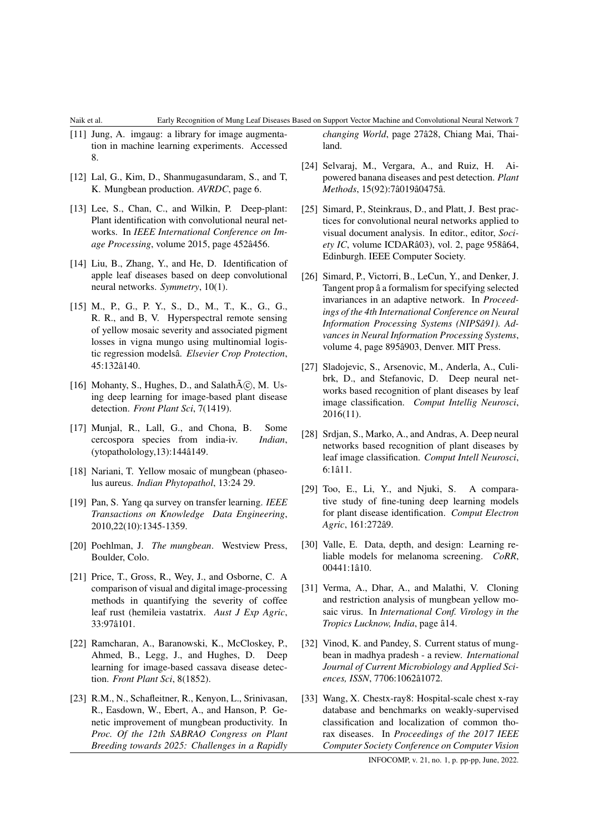#### Naik et al. Early Recognition of Mung Leaf Diseases Based on Support Vector Machine and Convolutional Neural Network 7

- <span id="page-6-15"></span>[11] Jung, A. imgaug: a library for image augmentation in machine learning experiments. Accessed 8.
- <span id="page-6-6"></span>[12] Lal, G., Kim, D., Shanmugasundaram, S., and T. K. Mungbean production. *AVRDC*, page 6.
- <span id="page-6-16"></span>[13] Lee, S., Chan, C., and Wilkin, P. Deep-plant: Plant identification with convolutional neural networks. In *IEEE International Conference on Image Processing*, volume 2015, page 452â456.
- <span id="page-6-19"></span>[14] Liu, B., Zhang, Y., and He, D. Identification of apple leaf diseases based on deep convolutional neural networks. *Symmetry*, 10(1).
- <span id="page-6-4"></span>[15] M., P., G., P. Y., S., D., M., T., K., G., G., R. R., and B, V. Hyperspectral remote sensing of yellow mosaic severity and associated pigment losses in vigna mungo using multinomial logistic regression modelsâ. *Elsevier Crop Protection*, 45:132â140.
- <span id="page-6-20"></span>[16] Mohanty, S., Hughes, D., and Salath $\tilde{A}(\tilde{c})$ , M. Using deep learning for image-based plant disease detection. *Front Plant Sci*, 7(1419).
- <span id="page-6-5"></span>[17] Munjal, R., Lall, G., and Chona, B. Some cercospora species from india-iv. *Indian*, (ytopatholology,13):144â149.
- <span id="page-6-2"></span>[18] Nariani, T. Yellow mosaic of mungbean (phaseolus aureus. *Indian Phytopathol*, 13:24 29.
- <span id="page-6-17"></span>[19] Pan, S. Yang qa survey on transfer learning. *IEEE Transactions on Knowledge Data Engineering*, 2010,22(10):1345-1359.
- <span id="page-6-7"></span>[20] Poehlman, J. *The mungbean*. Westview Press, Boulder, Colo.
- <span id="page-6-9"></span>[21] Price, T., Gross, R., Wey, J., and Osborne, C. A comparison of visual and digital image-processing methods in quantifying the severity of coffee leaf rust (hemileia vastatrix. *Aust J Exp Agric*, 33:97â101.
- <span id="page-6-10"></span>[22] Ramcharan, A., Baranowski, K., McCloskey, P., Ahmed, B., Legg, J., and Hughes, D. Deep learning for image-based cassava disease detection. *Front Plant Sci*, 8(1852).
- <span id="page-6-1"></span>[23] R.M., N., Schafleitner, R., Kenyon, L., Srinivasan, R., Easdown, W., Ebert, A., and Hanson, P. Genetic improvement of mungbean productivity. In *Proc. Of the 12th SABRAO Congress on Plant Breeding towards 2025: Challenges in a Rapidly*

*changing World*, page 27â28, Chiang Mai, Thailand.

- <span id="page-6-22"></span>[24] Selvaraj, M., Vergara, A., and Ruiz, H. Aipowered banana diseases and pest detection. *Plant Methods*, 15(92):7â019â0475â.
- <span id="page-6-14"></span>[25] Simard, P., Steinkraus, D., and Platt, J. Best practices for convolutional neural networks applied to visual document analysis. In editor., editor, *Society IC*, volume ICDARâ03), vol. 2, page 958â64, Edinburgh. IEEE Computer Society.
- <span id="page-6-13"></span>[26] Simard, P., Victorri, B., LeCun, Y., and Denker, J. Tangent prop â a formalism for specifying selected invariances in an adaptive network. In *Proceedings of the 4th International Conference on Neural Information Processing Systems (NIPSâ91). Advances in Neural Information Processing Systems*, volume 4, page 895â903, Denver. MIT Press.
- <span id="page-6-8"></span>[27] Sladojevic, S., Arsenovic, M., Anderla, A., Culibrk, D., and Stefanovic, D. Deep neural networks based recognition of plant diseases by leaf image classification. *Comput Intellig Neurosci*, 2016(11).
- <span id="page-6-18"></span>[28] Srdjan, S., Marko, A., and Andras, A. Deep neural networks based recognition of plant diseases by leaf image classification. *Comput Intell Neurosci*, 6:1â11.
- <span id="page-6-21"></span>[29] Too, E., Li, Y., and Njuki, S. A comparative study of fine-tuning deep learning models for plant disease identification. *Comput Electron Agric*, 161:272â9.
- <span id="page-6-11"></span>[30] Valle, E. Data, depth, and design: Learning reliable models for melanoma screening. *CoRR*, 00441:1â10.
- <span id="page-6-3"></span>[31] Verma, A., Dhar, A., and Malathi, V. Cloning and restriction analysis of mungbean yellow mosaic virus. In *International Conf. Virology in the Tropics Lucknow, India*, page â14.
- <span id="page-6-0"></span>[32] Vinod, K. and Pandey, S. Current status of mungbean in madhya pradesh - a review. *International Journal of Current Microbiology and Applied Sciences, ISSN*, 7706:1062â1072.
- <span id="page-6-12"></span>[33] Wang, X. Chestx-ray8: Hospital-scale chest x-ray database and benchmarks on weakly-supervised classification and localization of common thorax diseases. In *Proceedings of the 2017 IEEE Computer Society Conference on Computer Vision*